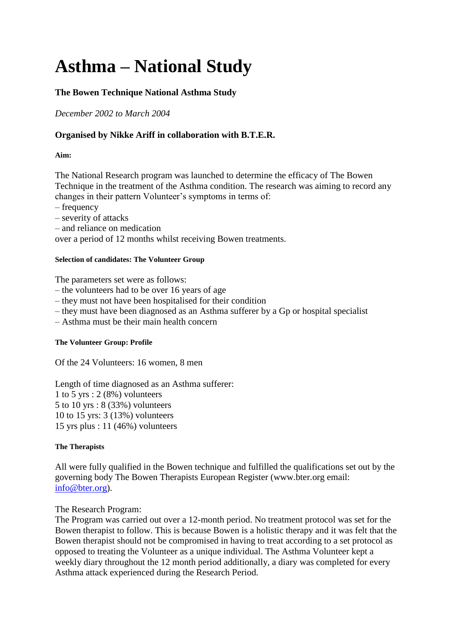# **Asthma – National Study**

# **The Bowen Technique National Asthma Study**

*December 2002 to March 2004*

# **Organised by Nikke Ariff in collaboration with B.T.E.R.**

## **Aim:**

The National Research program was launched to determine the efficacy of The Bowen Technique in the treatment of the Asthma condition. The research was aiming to record any changes in their pattern Volunteer's symptoms in terms of:

- frequency
- severity of attacks
- and reliance on medication

over a period of 12 months whilst receiving Bowen treatments.

#### **Selection of candidates: The Volunteer Group**

The parameters set were as follows:

- the volunteers had to be over 16 years of age
- they must not have been hospitalised for their condition
- they must have been diagnosed as an Asthma sufferer by a Gp or hospital specialist
- Asthma must be their main health concern

#### **The Volunteer Group: Profile**

Of the 24 Volunteers: 16 women, 8 men

Length of time diagnosed as an Asthma sufferer: 1 to 5 yrs : 2 (8%) volunteers 5 to 10 yrs : 8 (33%) volunteers 10 to 15 yrs: 3 (13%) volunteers 15 yrs plus : 11 (46%) volunteers

### **The Therapists**

All were fully qualified in the Bowen technique and fulfilled the qualifications set out by the governing body The Bowen Therapists European Register (www.bter.org email: [info@bter.org\)](mailto:info@bter.org).

### The Research Program:

The Program was carried out over a 12-month period. No treatment protocol was set for the Bowen therapist to follow. This is because Bowen is a holistic therapy and it was felt that the Bowen therapist should not be compromised in having to treat according to a set protocol as opposed to treating the Volunteer as a unique individual. The Asthma Volunteer kept a weekly diary throughout the 12 month period additionally, a diary was completed for every Asthma attack experienced during the Research Period.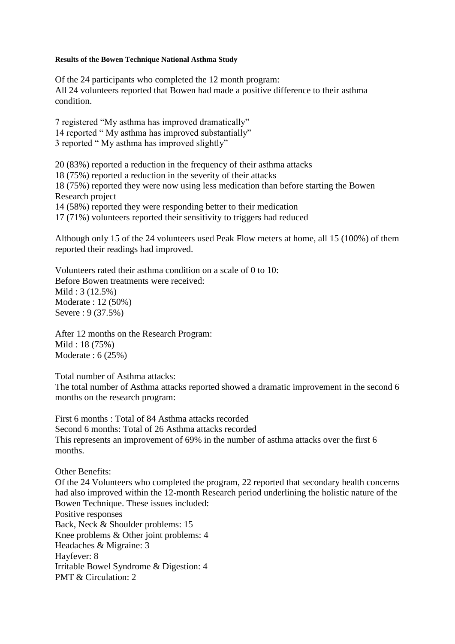#### **Results of the Bowen Technique National Asthma Study**

Of the 24 participants who completed the 12 month program: All 24 volunteers reported that Bowen had made a positive difference to their asthma condition.

7 registered "My asthma has improved dramatically" 14 reported " My asthma has improved substantially" 3 reported " My asthma has improved slightly"

20 (83%) reported a reduction in the frequency of their asthma attacks 18 (75%) reported a reduction in the severity of their attacks 18 (75%) reported they were now using less medication than before starting the Bowen Research project 14 (58%) reported they were responding better to their medication 17 (71%) volunteers reported their sensitivity to triggers had reduced

Although only 15 of the 24 volunteers used Peak Flow meters at home, all 15 (100%) of them reported their readings had improved.

Volunteers rated their asthma condition on a scale of 0 to 10: Before Bowen treatments were received: Mild : 3 (12.5%) Moderate : 12 (50%) Severe : 9 (37.5%)

After 12 months on the Research Program: Mild : 18 (75%) Moderate : 6 (25%)

Total number of Asthma attacks:

The total number of Asthma attacks reported showed a dramatic improvement in the second 6 months on the research program:

First 6 months : Total of 84 Asthma attacks recorded Second 6 months: Total of 26 Asthma attacks recorded This represents an improvement of 69% in the number of asthma attacks over the first 6 months.

Other Benefits:

Of the 24 Volunteers who completed the program, 22 reported that secondary health concerns had also improved within the 12-month Research period underlining the holistic nature of the Bowen Technique. These issues included: Positive responses Back, Neck & Shoulder problems: 15 Knee problems & Other joint problems: 4 Headaches & Migraine: 3 Hayfever: 8 Irritable Bowel Syndrome & Digestion: 4 PMT & Circulation: 2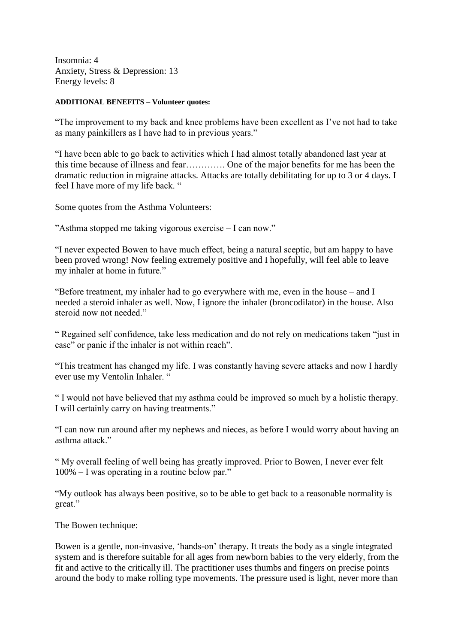Insomnia: 4 Anxiety, Stress & Depression: 13 Energy levels: 8

#### **ADDITIONAL BENEFITS – Volunteer quotes:**

"The improvement to my back and knee problems have been excellent as I've not had to take as many painkillers as I have had to in previous years."

"I have been able to go back to activities which I had almost totally abandoned last year at this time because of illness and fear…………. One of the major benefits for me has been the dramatic reduction in migraine attacks. Attacks are totally debilitating for up to 3 or 4 days. I feel I have more of my life back. "

Some quotes from the Asthma Volunteers:

"Asthma stopped me taking vigorous exercise – I can now."

"I never expected Bowen to have much effect, being a natural sceptic, but am happy to have been proved wrong! Now feeling extremely positive and I hopefully, will feel able to leave my inhaler at home in future."

"Before treatment, my inhaler had to go everywhere with me, even in the house – and I needed a steroid inhaler as well. Now, I ignore the inhaler (broncodilator) in the house. Also steroid now not needed."

" Regained self confidence, take less medication and do not rely on medications taken "just in case" or panic if the inhaler is not within reach".

"This treatment has changed my life. I was constantly having severe attacks and now I hardly ever use my Ventolin Inhaler. "

" I would not have believed that my asthma could be improved so much by a holistic therapy. I will certainly carry on having treatments."

"I can now run around after my nephews and nieces, as before I would worry about having an asthma attack"

" My overall feeling of well being has greatly improved. Prior to Bowen, I never ever felt 100% – I was operating in a routine below par."

"My outlook has always been positive, so to be able to get back to a reasonable normality is great."

The Bowen technique:

Bowen is a gentle, non-invasive, 'hands-on' therapy. It treats the body as a single integrated system and is therefore suitable for all ages from newborn babies to the very elderly, from the fit and active to the critically ill. The practitioner uses thumbs and fingers on precise points around the body to make rolling type movements. The pressure used is light, never more than